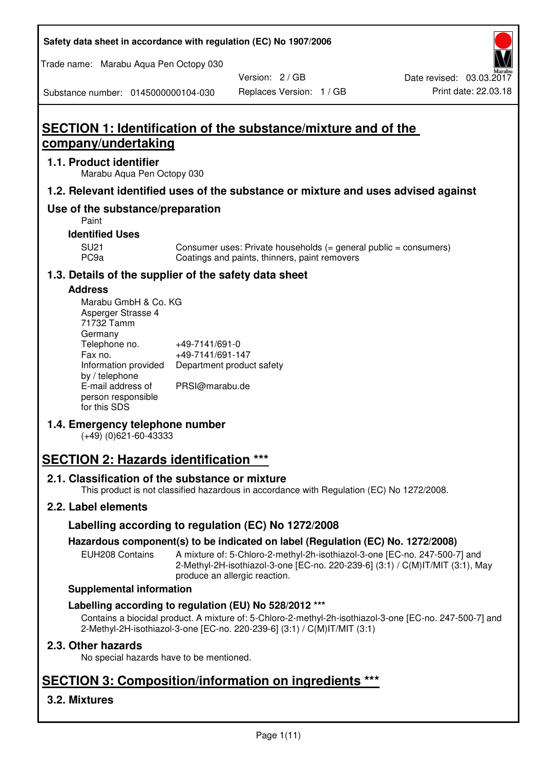| Safety data sheet in accordance with regulation (EC) No 1907/2006 |  |
|-------------------------------------------------------------------|--|
|-------------------------------------------------------------------|--|

Trade name: Marabu Aqua Pen Octopy 030

Version: 2 / GB

Substance number: 0145000000104-030

# **SECTION 1: Identification of the substance/mixture and of the company/undertaking**

### **1.1. Product identifier**

Marabu Aqua Pen Octopy 030

# **1.2. Relevant identified uses of the substance or mixture and uses advised against**

# **Use of the substance/preparation**

Paint

# **Identified Uses**

SU21 Consumer uses: Private households (= general public = consumers)<br>PC9a Coatings and paints, thinners, paint removers Coatings and paints, thinners, paint removers

# **1.3. Details of the supplier of the safety data sheet**

### **Address**

| Marabu GmbH & Co. KG |                           |
|----------------------|---------------------------|
| Asperger Strasse 4   |                           |
| 71732 Tamm           |                           |
| Germany              |                           |
| Telephone no.        | +49-7141/691-0            |
| Fax no.              | +49-7141/691-147          |
| Information provided | Department product safety |
| by / telephone       |                           |
| E-mail address of    | PRSI@marabu.de            |
| person responsible   |                           |
| for this SDS         |                           |

# **1.4. Emergency telephone number**

(+49) (0)621-60-43333

# **SECTION 2: Hazards identification \*\*\***

# **2.1. Classification of the substance or mixture**

This product is not classified hazardous in accordance with Regulation (EC) No 1272/2008.

# **2.2. Label elements**

# **Labelling according to regulation (EC) No 1272/2008**

# **Hazardous component(s) to be indicated on label (Regulation (EC) No. 1272/2008)**

EUH208 Contains A mixture of: 5-Chloro-2-methyl-2h-isothiazol-3-one [EC-no. 247-500-7] and 2-Methyl-2H-isothiazol-3-one [EC-no. 220-239-6] (3:1) / C(M)IT/MIT (3:1), May produce an allergic reaction.

#### **Supplemental information**

# **Labelling according to regulation (EU) No 528/2012 \*\*\***

Contains a biocidal product. A mixture of: 5-Chloro-2-methyl-2h-isothiazol-3-one [EC-no. 247-500-7] and 2-Methyl-2H-isothiazol-3-one [EC-no. 220-239-6] (3:1) / C(M)IT/MIT (3:1)

# **2.3. Other hazards**

No special hazards have to be mentioned.

# **SECTION 3: Composition/information on ingredients \*\*\***

# **3.2. Mixtures**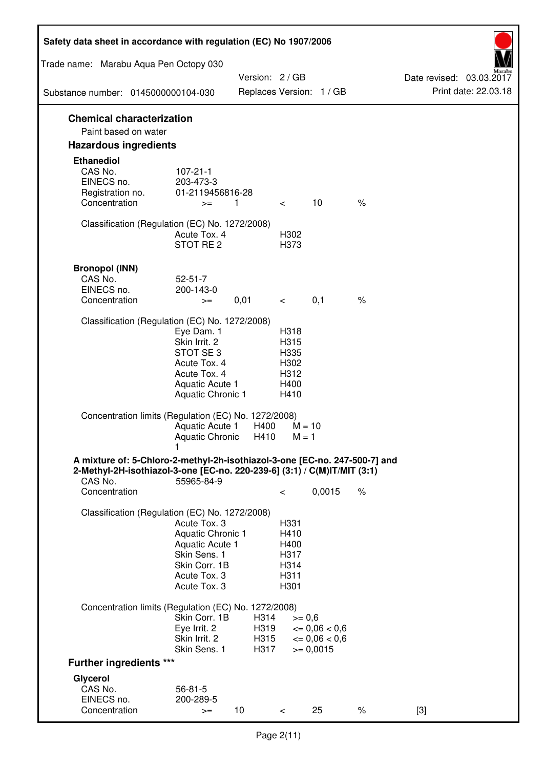| Safety data sheet in accordance with regulation (EC) No 1907/2006                                                                                                 |                                                                                                                       |                              |                                                      |                                                                  |      |                                                  |
|-------------------------------------------------------------------------------------------------------------------------------------------------------------------|-----------------------------------------------------------------------------------------------------------------------|------------------------------|------------------------------------------------------|------------------------------------------------------------------|------|--------------------------------------------------|
| Trade name: Marabu Aqua Pen Octopy 030                                                                                                                            |                                                                                                                       |                              |                                                      |                                                                  |      |                                                  |
| Substance number: 0145000000104-030                                                                                                                               |                                                                                                                       | Version: 2 / GB              |                                                      | Replaces Version: 1 / GB                                         |      | Date revised: 03.03.2017<br>Print date: 22.03.18 |
|                                                                                                                                                                   |                                                                                                                       |                              |                                                      |                                                                  |      |                                                  |
| <b>Chemical characterization</b><br>Paint based on water                                                                                                          |                                                                                                                       |                              |                                                      |                                                                  |      |                                                  |
| <b>Hazardous ingredients</b>                                                                                                                                      |                                                                                                                       |                              |                                                      |                                                                  |      |                                                  |
| <b>Ethanediol</b><br>CAS No.<br>EINECS no.<br>Registration no.<br>Concentration                                                                                   | $107 - 21 - 1$<br>203-473-3<br>01-2119456816-28<br>$>=$                                                               | 1                            | $\lt$                                                | 10                                                               | $\%$ |                                                  |
| Classification (Regulation (EC) No. 1272/2008)                                                                                                                    | Acute Tox. 4<br>STOT RE 2                                                                                             |                              | H302<br>H373                                         |                                                                  |      |                                                  |
| <b>Bronopol (INN)</b><br>CAS No.<br>EINECS no.<br>Concentration                                                                                                   | $52 - 51 - 7$<br>200-143-0<br>$>=$                                                                                    | 0,01                         | $\lt$ $\sim$                                         | 0,1                                                              | $\%$ |                                                  |
| Classification (Regulation (EC) No. 1272/2008)                                                                                                                    |                                                                                                                       |                              |                                                      |                                                                  |      |                                                  |
|                                                                                                                                                                   | Eye Dam. 1<br>Skin Irrit. 2<br>STOT SE3<br>Acute Tox. 4<br>Acute Tox. 4<br>Aquatic Acute 1<br>Aquatic Chronic 1       |                              | H318<br>H315<br>H335<br>H302<br>H312<br>H400<br>H410 |                                                                  |      |                                                  |
| Concentration limits (Regulation (EC) No. 1272/2008)                                                                                                              | Aquatic Acute 1<br>Aquatic Chronic $H410$ M = 1                                                                       | H400                         | $M = 10$                                             |                                                                  |      |                                                  |
| A mixture of: 5-Chloro-2-methyl-2h-isothiazol-3-one [EC-no. 247-500-7] and<br>2-Methyl-2H-isothiazol-3-one [EC-no. 220-239-6] (3:1) / C(M)IT/MIT (3:1)<br>CAS No. | 55965-84-9                                                                                                            |                              |                                                      |                                                                  |      |                                                  |
| Concentration                                                                                                                                                     |                                                                                                                       |                              | $\,<\,$                                              | 0,0015                                                           | $\%$ |                                                  |
| Classification (Regulation (EC) No. 1272/2008)                                                                                                                    | Acute Tox. 3<br>Aquatic Chronic 1<br>Aquatic Acute 1<br>Skin Sens. 1<br>Skin Corr. 1B<br>Acute Tox. 3<br>Acute Tox. 3 |                              | H331<br>H410<br>H400<br>H317<br>H314<br>H311<br>H301 |                                                                  |      |                                                  |
| Concentration limits (Regulation (EC) No. 1272/2008)                                                                                                              |                                                                                                                       |                              |                                                      |                                                                  |      |                                                  |
|                                                                                                                                                                   | Skin Corr. 1B<br>Eye Irrit. 2<br>Skin Irrit. 2<br>Skin Sens. 1                                                        | H314<br>H319<br>H315<br>H317 | $>= 0,6$                                             | $\epsilon = 0.06 < 0.6$<br>$\epsilon = 0.06 < 0.6$<br>$= 0,0015$ |      |                                                  |
| <b>Further ingredients ***</b>                                                                                                                                    |                                                                                                                       |                              |                                                      |                                                                  |      |                                                  |
| Glycerol<br>CAS No.<br>EINECS no.<br>Concentration                                                                                                                | $56 - 81 - 5$<br>200-289-5<br>$>=$                                                                                    | 10 <sup>°</sup>              | $\,<\,$                                              | 25                                                               | $\%$ | $[3]$                                            |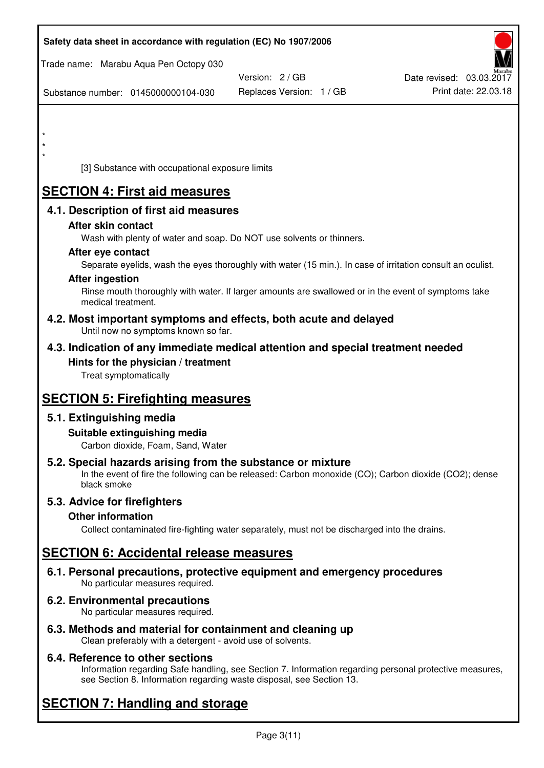| Safety data sheet in accordance with regulation (EC) No 1907/2006                                            |                                                                                                            |                          |
|--------------------------------------------------------------------------------------------------------------|------------------------------------------------------------------------------------------------------------|--------------------------|
| Trade name: Marabu Aqua Pen Octopy 030                                                                       |                                                                                                            |                          |
|                                                                                                              | Version: 2/GB                                                                                              | Date revised: 03.03.2017 |
| Substance number: 0145000000104-030                                                                          | Replaces Version: 1 / GB                                                                                   | Print date: 22.03.18     |
|                                                                                                              |                                                                                                            |                          |
| $\star$                                                                                                      |                                                                                                            |                          |
|                                                                                                              |                                                                                                            |                          |
| [3] Substance with occupational exposure limits                                                              |                                                                                                            |                          |
| <b>SECTION 4: First aid measures</b>                                                                         |                                                                                                            |                          |
| 4.1. Description of first aid measures                                                                       |                                                                                                            |                          |
| After skin contact                                                                                           |                                                                                                            |                          |
| Wash with plenty of water and soap. Do NOT use solvents or thinners.                                         |                                                                                                            |                          |
| After eye contact                                                                                            |                                                                                                            |                          |
|                                                                                                              | Separate eyelids, wash the eyes thoroughly with water (15 min.). In case of irritation consult an oculist. |                          |
| <b>After ingestion</b>                                                                                       | Rinse mouth thoroughly with water. If larger amounts are swallowed or in the event of symptoms take        |                          |
| medical treatment.                                                                                           |                                                                                                            |                          |
| 4.2. Most important symptoms and effects, both acute and delayed<br>Until now no symptoms known so far.      |                                                                                                            |                          |
| 4.3. Indication of any immediate medical attention and special treatment needed                              |                                                                                                            |                          |
| Hints for the physician / treatment                                                                          |                                                                                                            |                          |
| Treat symptomatically                                                                                        |                                                                                                            |                          |
| <b>SECTION 5: Firefighting measures</b>                                                                      |                                                                                                            |                          |
| 5.1. Extinguishing media                                                                                     |                                                                                                            |                          |
| Suitable extinguishing media                                                                                 |                                                                                                            |                          |
| Carbon dioxide, Foam, Sand, Water                                                                            |                                                                                                            |                          |
| 5.2. Special hazards arising from the substance or mixture<br>black smoke                                    | In the event of fire the following can be released: Carbon monoxide (CO); Carbon dioxide (CO2); dense      |                          |
| 5.3. Advice for firefighters                                                                                 |                                                                                                            |                          |
| <b>Other information</b>                                                                                     |                                                                                                            |                          |
|                                                                                                              | Collect contaminated fire-fighting water separately, must not be discharged into the drains.               |                          |
| <b>SECTION 6: Accidental release measures</b>                                                                |                                                                                                            |                          |
| 6.1. Personal precautions, protective equipment and emergency procedures<br>No particular measures required. |                                                                                                            |                          |
| <b>6.2. Environmental precautions</b><br>No particular measures required.                                    |                                                                                                            |                          |
|                                                                                                              |                                                                                                            |                          |

**6.3. Methods and material for containment and cleaning up**  Clean preferably with a detergent - avoid use of solvents.

# **6.4. Reference to other sections**

Information regarding Safe handling, see Section 7. Information regarding personal protective measures, see Section 8. Information regarding waste disposal, see Section 13.

# **SECTION 7: Handling and storage**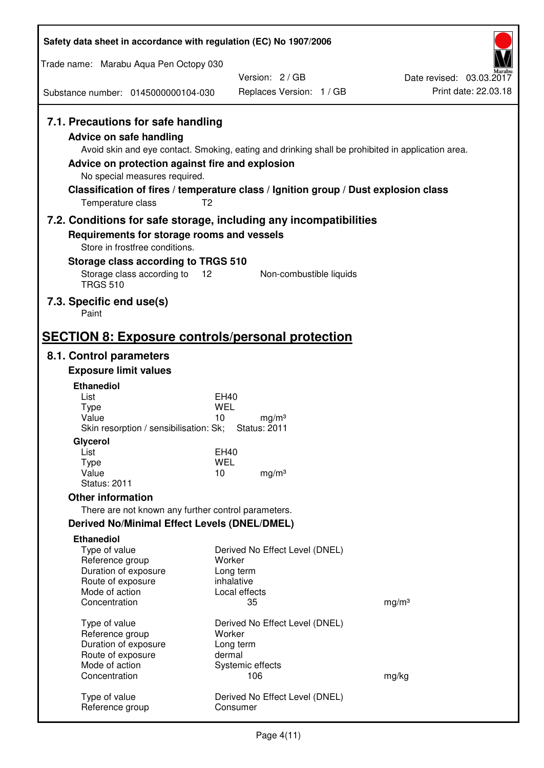| Safety data sheet in accordance with regulation (EC) No 1907/2006                                                                                                             |                                                                                                                                                                                                            |                                                  |
|-------------------------------------------------------------------------------------------------------------------------------------------------------------------------------|------------------------------------------------------------------------------------------------------------------------------------------------------------------------------------------------------------|--------------------------------------------------|
| Trade name: Marabu Aqua Pen Octopy 030                                                                                                                                        |                                                                                                                                                                                                            |                                                  |
|                                                                                                                                                                               | Version: 2/GB                                                                                                                                                                                              | Date revised: 03.03.2017<br>Print date: 22.03.18 |
| Substance number: 0145000000104-030                                                                                                                                           | Replaces Version: 1 / GB                                                                                                                                                                                   |                                                  |
| 7.1. Precautions for safe handling<br><b>Advice on safe handling</b><br>Advice on protection against fire and explosion<br>No special measures required.<br>Temperature class | Avoid skin and eye contact. Smoking, eating and drinking shall be prohibited in application area.<br>Classification of fires / temperature class / Ignition group / Dust explosion class<br>T <sub>2</sub> |                                                  |
|                                                                                                                                                                               | 7.2. Conditions for safe storage, including any incompatibilities                                                                                                                                          |                                                  |
| Requirements for storage rooms and vessels<br>Store in frostfree conditions.                                                                                                  |                                                                                                                                                                                                            |                                                  |
| Storage class according to TRGS 510                                                                                                                                           |                                                                                                                                                                                                            |                                                  |
| Storage class according to<br><b>TRGS 510</b>                                                                                                                                 | 12<br>Non-combustible liquids                                                                                                                                                                              |                                                  |
| 7.3. Specific end use(s)<br>Paint                                                                                                                                             |                                                                                                                                                                                                            |                                                  |
| <b>SECTION 8: Exposure controls/personal protection</b>                                                                                                                       |                                                                                                                                                                                                            |                                                  |
| 8.1. Control parameters                                                                                                                                                       |                                                                                                                                                                                                            |                                                  |
| <b>Exposure limit values</b>                                                                                                                                                  |                                                                                                                                                                                                            |                                                  |
| <b>Ethanediol</b><br>List                                                                                                                                                     | EH40                                                                                                                                                                                                       |                                                  |
| <b>Type</b>                                                                                                                                                                   | <b>WEL</b>                                                                                                                                                                                                 |                                                  |
| Value<br>Skin resorption / sensibilisation: Sk;                                                                                                                               | 10<br>mg/m <sup>3</sup><br><b>Status: 2011</b>                                                                                                                                                             |                                                  |
| Glycerol                                                                                                                                                                      |                                                                                                                                                                                                            |                                                  |
| List                                                                                                                                                                          | EH40                                                                                                                                                                                                       |                                                  |
| <b>Type</b><br>Value                                                                                                                                                          | <b>WEL</b><br>10<br>mg/m <sup>3</sup>                                                                                                                                                                      |                                                  |
| <b>Status: 2011</b>                                                                                                                                                           |                                                                                                                                                                                                            |                                                  |
| <b>Other information</b>                                                                                                                                                      |                                                                                                                                                                                                            |                                                  |
| There are not known any further control parameters.                                                                                                                           |                                                                                                                                                                                                            |                                                  |
| <b>Derived No/Minimal Effect Levels (DNEL/DMEL)</b>                                                                                                                           |                                                                                                                                                                                                            |                                                  |
| <b>Ethanediol</b><br>Type of value                                                                                                                                            | Derived No Effect Level (DNEL)                                                                                                                                                                             |                                                  |
| Reference group<br>Duration of exposure                                                                                                                                       | Worker<br>Long term                                                                                                                                                                                        |                                                  |
| Route of exposure                                                                                                                                                             | inhalative                                                                                                                                                                                                 |                                                  |
| Mode of action                                                                                                                                                                | Local effects                                                                                                                                                                                              |                                                  |
| Concentration                                                                                                                                                                 | 35                                                                                                                                                                                                         | mg/m <sup>3</sup>                                |
| Type of value                                                                                                                                                                 | Derived No Effect Level (DNEL)                                                                                                                                                                             |                                                  |
| Reference group<br>Duration of exposure                                                                                                                                       | Worker<br>Long term                                                                                                                                                                                        |                                                  |
| Route of exposure                                                                                                                                                             | dermal                                                                                                                                                                                                     |                                                  |
| Mode of action<br>Concentration                                                                                                                                               | Systemic effects<br>106                                                                                                                                                                                    |                                                  |
|                                                                                                                                                                               |                                                                                                                                                                                                            | mg/kg                                            |
| Type of value<br>Reference group                                                                                                                                              | Derived No Effect Level (DNEL)<br>Consumer                                                                                                                                                                 |                                                  |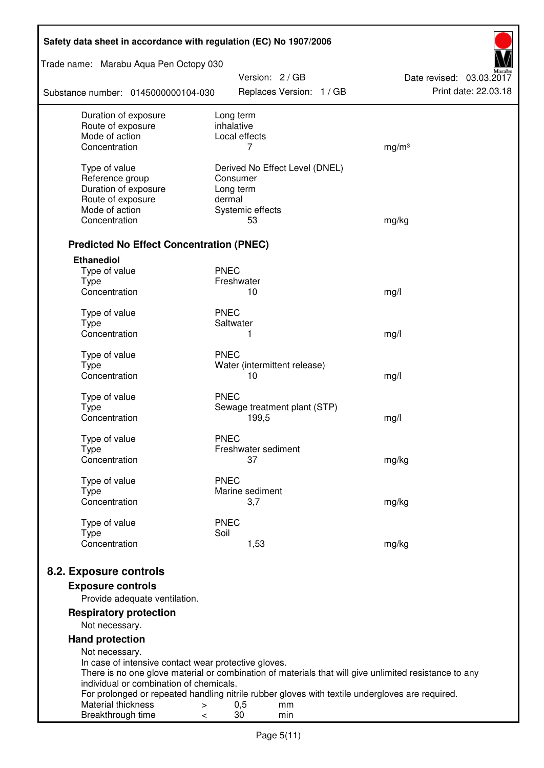| Safety data sheet in accordance with regulation (EC) No 1907/2006 |                                                                                                       |                          |  |  |
|-------------------------------------------------------------------|-------------------------------------------------------------------------------------------------------|--------------------------|--|--|
| Trade name: Marabu Aqua Pen Octopy 030                            | Version: 2 / GB                                                                                       | Date revised: 03.03.2017 |  |  |
| Substance number: 0145000000104-030                               | Replaces Version: 1 / GB                                                                              | Print date: 22.03.18     |  |  |
| Duration of exposure                                              | Long term                                                                                             |                          |  |  |
| Route of exposure<br>Mode of action                               | inhalative<br>Local effects                                                                           |                          |  |  |
| Concentration                                                     | 7                                                                                                     | mg/m <sup>3</sup>        |  |  |
|                                                                   |                                                                                                       |                          |  |  |
| Type of value                                                     | Derived No Effect Level (DNEL)                                                                        |                          |  |  |
| Reference group                                                   | Consumer                                                                                              |                          |  |  |
| Duration of exposure<br>Route of exposure                         | Long term<br>dermal                                                                                   |                          |  |  |
| Mode of action                                                    | Systemic effects                                                                                      |                          |  |  |
| Concentration                                                     | 53                                                                                                    | mg/kg                    |  |  |
|                                                                   |                                                                                                       |                          |  |  |
| <b>Predicted No Effect Concentration (PNEC)</b>                   |                                                                                                       |                          |  |  |
| <b>Ethanediol</b>                                                 |                                                                                                       |                          |  |  |
| Type of value                                                     | <b>PNEC</b>                                                                                           |                          |  |  |
| <b>Type</b><br>Concentration                                      | Freshwater<br>10                                                                                      |                          |  |  |
|                                                                   |                                                                                                       | mg/l                     |  |  |
| Type of value                                                     | <b>PNEC</b>                                                                                           |                          |  |  |
| <b>Type</b>                                                       | Saltwater                                                                                             |                          |  |  |
| Concentration                                                     | 1                                                                                                     | mg/l                     |  |  |
| Type of value                                                     | <b>PNEC</b>                                                                                           |                          |  |  |
| <b>Type</b>                                                       | Water (intermittent release)                                                                          |                          |  |  |
| Concentration                                                     | 10                                                                                                    | mg/l                     |  |  |
| Type of value                                                     | <b>PNEC</b>                                                                                           |                          |  |  |
| <b>Type</b>                                                       | Sewage treatment plant (STP)                                                                          |                          |  |  |
| Concentration                                                     | 199,5                                                                                                 | mg/l                     |  |  |
| Type of value                                                     | <b>PNEC</b>                                                                                           |                          |  |  |
| Type                                                              | Freshwater sediment                                                                                   |                          |  |  |
| Concentration                                                     | 37                                                                                                    | mg/kg                    |  |  |
|                                                                   | <b>PNEC</b>                                                                                           |                          |  |  |
| Type of value<br><b>Type</b>                                      | Marine sediment                                                                                       |                          |  |  |
| Concentration                                                     | 3,7                                                                                                   | mg/kg                    |  |  |
|                                                                   |                                                                                                       |                          |  |  |
| Type of value                                                     | <b>PNEC</b><br>Soil                                                                                   |                          |  |  |
| <b>Type</b><br>Concentration                                      | 1,53                                                                                                  | mg/kg                    |  |  |
|                                                                   |                                                                                                       |                          |  |  |
| 8.2. Exposure controls                                            |                                                                                                       |                          |  |  |
| <b>Exposure controls</b>                                          |                                                                                                       |                          |  |  |
| Provide adequate ventilation.                                     |                                                                                                       |                          |  |  |
| <b>Respiratory protection</b>                                     |                                                                                                       |                          |  |  |
| Not necessary.                                                    |                                                                                                       |                          |  |  |
| <b>Hand protection</b>                                            |                                                                                                       |                          |  |  |
| Not necessary.                                                    |                                                                                                       |                          |  |  |
| In case of intensive contact wear protective gloves.              |                                                                                                       |                          |  |  |
| individual or combination of chemicals.                           | There is no one glove material or combination of materials that will give unlimited resistance to any |                          |  |  |
|                                                                   | For prolonged or repeated handling nitrile rubber gloves with textile undergloves are required.       |                          |  |  |
| Material thickness<br>>                                           | 0,5<br>mm                                                                                             |                          |  |  |
| Breakthrough time<br><                                            | 30<br>min                                                                                             |                          |  |  |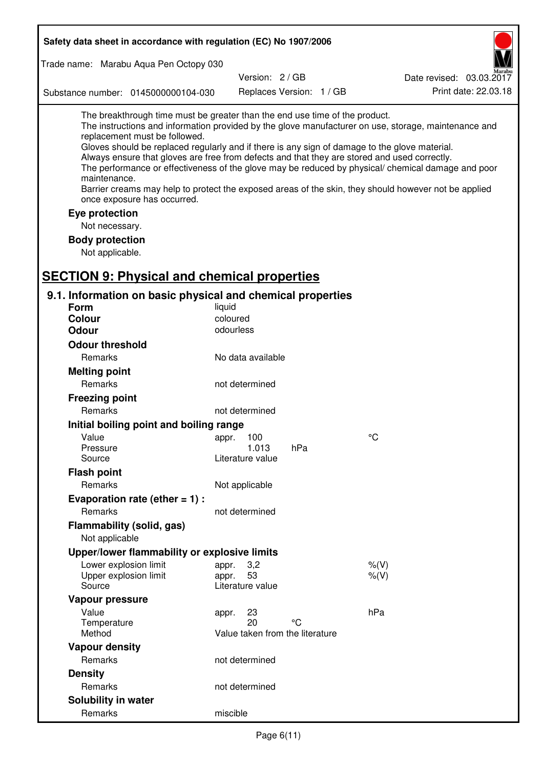| Safety data sheet in accordance with regulation (EC) No 1907/2006                                                                                                                                                                                                                                                                                            |                       |                                 |     |                                                                                                                                                                                                                                                                                                                    |
|--------------------------------------------------------------------------------------------------------------------------------------------------------------------------------------------------------------------------------------------------------------------------------------------------------------------------------------------------------------|-----------------------|---------------------------------|-----|--------------------------------------------------------------------------------------------------------------------------------------------------------------------------------------------------------------------------------------------------------------------------------------------------------------------|
| Trade name: Marabu Aqua Pen Octopy 030                                                                                                                                                                                                                                                                                                                       |                       |                                 |     |                                                                                                                                                                                                                                                                                                                    |
|                                                                                                                                                                                                                                                                                                                                                              |                       | Version: 2/GB                   |     | Date revised: 03.03.2017                                                                                                                                                                                                                                                                                           |
| Substance number: 0145000000104-030                                                                                                                                                                                                                                                                                                                          |                       | Replaces Version: 1 / GB        |     | Print date: 22.03.18                                                                                                                                                                                                                                                                                               |
| The breakthrough time must be greater than the end use time of the product.<br>replacement must be followed.<br>Gloves should be replaced regularly and if there is any sign of damage to the glove material.<br>Always ensure that gloves are free from defects and that they are stored and used correctly.<br>maintenance.<br>once exposure has occurred. |                       |                                 |     | The instructions and information provided by the glove manufacturer on use, storage, maintenance and<br>The performance or effectiveness of the glove may be reduced by physical/ chemical damage and poor<br>Barrier creams may help to protect the exposed areas of the skin, they should however not be applied |
| Eye protection                                                                                                                                                                                                                                                                                                                                               |                       |                                 |     |                                                                                                                                                                                                                                                                                                                    |
| Not necessary.                                                                                                                                                                                                                                                                                                                                               |                       |                                 |     |                                                                                                                                                                                                                                                                                                                    |
| <b>Body protection</b>                                                                                                                                                                                                                                                                                                                                       |                       |                                 |     |                                                                                                                                                                                                                                                                                                                    |
| Not applicable.                                                                                                                                                                                                                                                                                                                                              |                       |                                 |     |                                                                                                                                                                                                                                                                                                                    |
|                                                                                                                                                                                                                                                                                                                                                              |                       |                                 |     |                                                                                                                                                                                                                                                                                                                    |
| <b>SECTION 9: Physical and chemical properties</b>                                                                                                                                                                                                                                                                                                           |                       |                                 |     |                                                                                                                                                                                                                                                                                                                    |
| 9.1. Information on basic physical and chemical properties                                                                                                                                                                                                                                                                                                   |                       |                                 |     |                                                                                                                                                                                                                                                                                                                    |
| Form                                                                                                                                                                                                                                                                                                                                                         | liquid                |                                 |     |                                                                                                                                                                                                                                                                                                                    |
| <b>Colour</b>                                                                                                                                                                                                                                                                                                                                                | coloured<br>odourless |                                 |     |                                                                                                                                                                                                                                                                                                                    |
| <b>Odour</b>                                                                                                                                                                                                                                                                                                                                                 |                       |                                 |     |                                                                                                                                                                                                                                                                                                                    |
| <b>Odour threshold</b>                                                                                                                                                                                                                                                                                                                                       |                       |                                 |     |                                                                                                                                                                                                                                                                                                                    |
| Remarks                                                                                                                                                                                                                                                                                                                                                      |                       | No data available               |     |                                                                                                                                                                                                                                                                                                                    |
| <b>Melting point</b>                                                                                                                                                                                                                                                                                                                                         |                       |                                 |     |                                                                                                                                                                                                                                                                                                                    |
| Remarks                                                                                                                                                                                                                                                                                                                                                      |                       | not determined                  |     |                                                                                                                                                                                                                                                                                                                    |
| <b>Freezing point</b>                                                                                                                                                                                                                                                                                                                                        |                       |                                 |     |                                                                                                                                                                                                                                                                                                                    |
| Remarks                                                                                                                                                                                                                                                                                                                                                      |                       | not determined                  |     |                                                                                                                                                                                                                                                                                                                    |
| Initial boiling point and boiling range                                                                                                                                                                                                                                                                                                                      |                       |                                 |     |                                                                                                                                                                                                                                                                                                                    |
| Value<br>Pressure                                                                                                                                                                                                                                                                                                                                            | appr. 100             | 1.013                           | hPa | $\rm ^{\circ}C$                                                                                                                                                                                                                                                                                                    |
| Source                                                                                                                                                                                                                                                                                                                                                       |                       | Literature value                |     |                                                                                                                                                                                                                                                                                                                    |
| <b>Flash point</b>                                                                                                                                                                                                                                                                                                                                           |                       |                                 |     |                                                                                                                                                                                                                                                                                                                    |
| Remarks                                                                                                                                                                                                                                                                                                                                                      | Not applicable        |                                 |     |                                                                                                                                                                                                                                                                                                                    |
| Evaporation rate (ether $= 1$ ) :                                                                                                                                                                                                                                                                                                                            |                       |                                 |     |                                                                                                                                                                                                                                                                                                                    |
| Remarks                                                                                                                                                                                                                                                                                                                                                      |                       | not determined                  |     |                                                                                                                                                                                                                                                                                                                    |
| Flammability (solid, gas)                                                                                                                                                                                                                                                                                                                                    |                       |                                 |     |                                                                                                                                                                                                                                                                                                                    |
| Not applicable                                                                                                                                                                                                                                                                                                                                               |                       |                                 |     |                                                                                                                                                                                                                                                                                                                    |
| Upper/lower flammability or explosive limits                                                                                                                                                                                                                                                                                                                 |                       |                                 |     |                                                                                                                                                                                                                                                                                                                    |
| Lower explosion limit                                                                                                                                                                                                                                                                                                                                        | appr.                 | 3,2                             |     | $%$ (V)                                                                                                                                                                                                                                                                                                            |
| Upper explosion limit                                                                                                                                                                                                                                                                                                                                        | appr.                 | 53                              |     | $%$ (V)                                                                                                                                                                                                                                                                                                            |
| Source                                                                                                                                                                                                                                                                                                                                                       |                       | Literature value                |     |                                                                                                                                                                                                                                                                                                                    |
| Vapour pressure                                                                                                                                                                                                                                                                                                                                              |                       |                                 |     |                                                                                                                                                                                                                                                                                                                    |
| Value<br>Temperature                                                                                                                                                                                                                                                                                                                                         | appr.                 | 23<br>20                        | °C  | hPa                                                                                                                                                                                                                                                                                                                |
| Method                                                                                                                                                                                                                                                                                                                                                       |                       | Value taken from the literature |     |                                                                                                                                                                                                                                                                                                                    |
| <b>Vapour density</b>                                                                                                                                                                                                                                                                                                                                        |                       |                                 |     |                                                                                                                                                                                                                                                                                                                    |
| Remarks                                                                                                                                                                                                                                                                                                                                                      |                       | not determined                  |     |                                                                                                                                                                                                                                                                                                                    |
| <b>Density</b>                                                                                                                                                                                                                                                                                                                                               |                       |                                 |     |                                                                                                                                                                                                                                                                                                                    |
| Remarks                                                                                                                                                                                                                                                                                                                                                      |                       | not determined                  |     |                                                                                                                                                                                                                                                                                                                    |
| Solubility in water                                                                                                                                                                                                                                                                                                                                          |                       |                                 |     |                                                                                                                                                                                                                                                                                                                    |
| Remarks                                                                                                                                                                                                                                                                                                                                                      | miscible              |                                 |     |                                                                                                                                                                                                                                                                                                                    |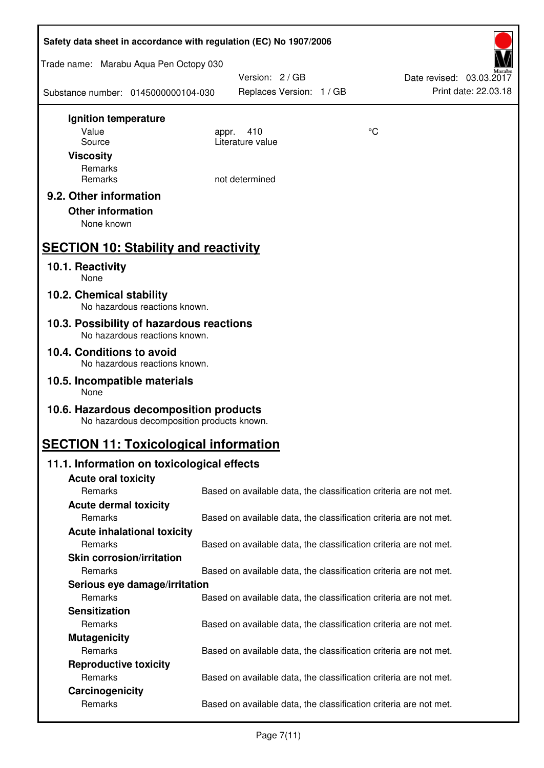| Safety data sheet in accordance with regulation (EC) No 1907/2006                    |                                                                   |    |                                                  |  |  |
|--------------------------------------------------------------------------------------|-------------------------------------------------------------------|----|--------------------------------------------------|--|--|
| Trade name: Marabu Aqua Pen Octopy 030                                               |                                                                   |    |                                                  |  |  |
| Substance number: 0145000000104-030                                                  | Version: 2 / GB<br>Replaces Version: 1 / GB                       |    | Date revised: 03.03.2017<br>Print date: 22.03.18 |  |  |
| Ignition temperature                                                                 |                                                                   |    |                                                  |  |  |
| Value                                                                                | 410<br>appr.<br>Literature value                                  | °C |                                                  |  |  |
| Source<br><b>Viscosity</b>                                                           |                                                                   |    |                                                  |  |  |
| Remarks                                                                              |                                                                   |    |                                                  |  |  |
| Remarks                                                                              | not determined                                                    |    |                                                  |  |  |
| 9.2. Other information<br><b>Other information</b><br>None known                     |                                                                   |    |                                                  |  |  |
| <b>SECTION 10: Stability and reactivity</b>                                          |                                                                   |    |                                                  |  |  |
| 10.1. Reactivity<br>None                                                             |                                                                   |    |                                                  |  |  |
| 10.2. Chemical stability<br>No hazardous reactions known.                            |                                                                   |    |                                                  |  |  |
| 10.3. Possibility of hazardous reactions<br>No hazardous reactions known.            |                                                                   |    |                                                  |  |  |
| 10.4. Conditions to avoid<br>No hazardous reactions known.                           |                                                                   |    |                                                  |  |  |
| 10.5. Incompatible materials<br>None                                                 |                                                                   |    |                                                  |  |  |
| 10.6. Hazardous decomposition products<br>No hazardous decomposition products known. |                                                                   |    |                                                  |  |  |
| <b>SECTION 11: Toxicological information</b>                                         |                                                                   |    |                                                  |  |  |
| 11.1. Information on toxicological effects                                           |                                                                   |    |                                                  |  |  |
| <b>Acute oral toxicity</b>                                                           |                                                                   |    |                                                  |  |  |
| Remarks                                                                              | Based on available data, the classification criteria are not met. |    |                                                  |  |  |
| <b>Acute dermal toxicity</b><br>Remarks                                              |                                                                   |    |                                                  |  |  |
| <b>Acute inhalational toxicity</b>                                                   | Based on available data, the classification criteria are not met. |    |                                                  |  |  |
| Remarks                                                                              | Based on available data, the classification criteria are not met. |    |                                                  |  |  |
| <b>Skin corrosion/irritation</b>                                                     |                                                                   |    |                                                  |  |  |
| Remarks                                                                              | Based on available data, the classification criteria are not met. |    |                                                  |  |  |
| Serious eye damage/irritation                                                        |                                                                   |    |                                                  |  |  |
| Remarks                                                                              | Based on available data, the classification criteria are not met. |    |                                                  |  |  |
| <b>Sensitization</b>                                                                 |                                                                   |    |                                                  |  |  |
| Remarks                                                                              | Based on available data, the classification criteria are not met. |    |                                                  |  |  |
| <b>Mutagenicity</b>                                                                  |                                                                   |    |                                                  |  |  |
| Remarks                                                                              | Based on available data, the classification criteria are not met. |    |                                                  |  |  |
| <b>Reproductive toxicity</b><br>Remarks                                              | Based on available data, the classification criteria are not met. |    |                                                  |  |  |
| Carcinogenicity                                                                      |                                                                   |    |                                                  |  |  |
| Remarks                                                                              | Based on available data, the classification criteria are not met. |    |                                                  |  |  |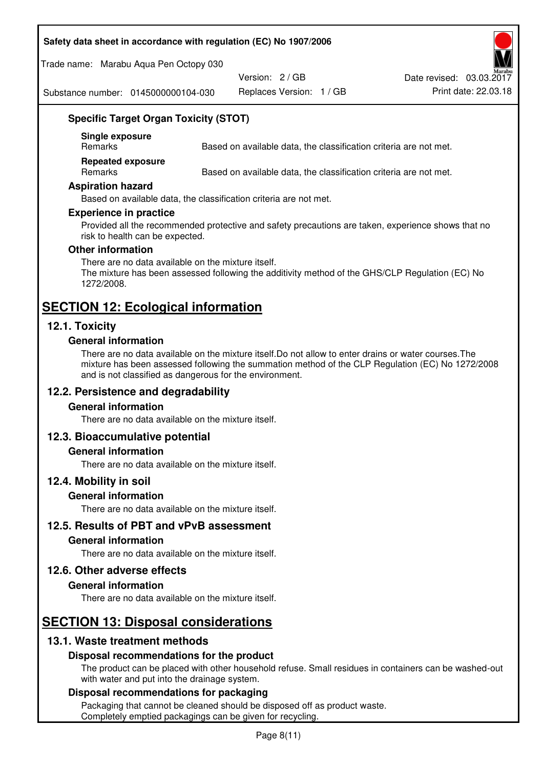#### **Safety data sheet in accordance with regulation (EC) No 1907/2006**

Trade name: Marabu Aqua Pen Octopy 030

Version: 2 / GB

Replaces Version: 1 / GB Print date: 22.03.18 Date revised: 03.03.2017

Substance number: 0145000000104-030

# **Specific Target Organ Toxicity (STOT)**

**Single exposure** 

Based on available data, the classification criteria are not met.

**Repeated exposure** 

Remarks Based on available data, the classification criteria are not met.

#### **Aspiration hazard**

Based on available data, the classification criteria are not met.

#### **Experience in practice**

Provided all the recommended protective and safety precautions are taken, experience shows that no risk to health can be expected.

#### **Other information**

There are no data available on the mixture itself. The mixture has been assessed following the additivity method of the GHS/CLP Regulation (EC) No 1272/2008.

# **SECTION 12: Ecological information**

# **12.1. Toxicity**

#### **General information**

There are no data available on the mixture itself.Do not allow to enter drains or water courses.The mixture has been assessed following the summation method of the CLP Regulation (EC) No 1272/2008 and is not classified as dangerous for the environment.

# **12.2. Persistence and degradability**

#### **General information**

There are no data available on the mixture itself.

#### **12.3. Bioaccumulative potential**

#### **General information**

There are no data available on the mixture itself.

#### **12.4. Mobility in soil**

#### **General information**

There are no data available on the mixture itself.

#### **12.5. Results of PBT and vPvB assessment**

### **General information**

There are no data available on the mixture itself.

#### **12.6. Other adverse effects**

#### **General information**

There are no data available on the mixture itself.

# **SECTION 13: Disposal considerations**

# **13.1. Waste treatment methods**

#### **Disposal recommendations for the product**

The product can be placed with other household refuse. Small residues in containers can be washed-out with water and put into the drainage system.

#### **Disposal recommendations for packaging**

Packaging that cannot be cleaned should be disposed off as product waste. Completely emptied packagings can be given for recycling.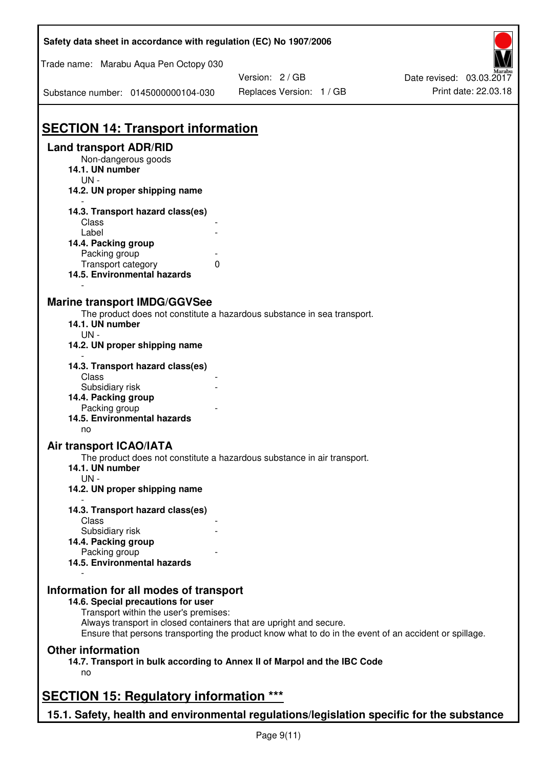| Trade name: Marabu Aqua Pen Octopy 030<br>Version: 2 / GB<br>Date revised: 03.03.2017<br>Print date: 22.03.18<br>Replaces Version: 1 / GB<br>Substance number: 0145000000104-030<br><b>SECTION 14: Transport information</b><br><b>Land transport ADR/RID</b><br>Non-dangerous goods<br>14.1. UN number<br>$UN -$<br>14.2. UN proper shipping name<br>14.3. Transport hazard class(es)<br>Class<br>Label<br>14.4. Packing group<br>Packing group<br>Transport category<br>0<br>14.5. Environmental hazards<br><b>Marine transport IMDG/GGVSee</b><br>The product does not constitute a hazardous substance in sea transport.<br>14.1. UN number<br>$UN -$<br>14.2. UN proper shipping name<br>14.3. Transport hazard class(es)<br>Class<br>Subsidiary risk<br>14.4. Packing group<br>Packing group<br>14.5. Environmental hazards<br>no<br><b>Air transport ICAO/IATA</b><br>The product does not constitute a hazardous substance in air transport.<br>14.1. UN number<br>$UN -$<br>14.2. UN proper shipping name<br>14.3. Transport hazard class(es)<br>Class<br>Subsidiary risk<br>14.4. Packing group<br>Packing group<br>14.5. Environmental hazards<br>Information for all modes of transport<br>14.6. Special precautions for user<br>Transport within the user's premises:<br>Always transport in closed containers that are upright and secure.<br>Ensure that persons transporting the product know what to do in the event of an accident or spillage.<br><b>Other information</b><br>14.7. Transport in bulk according to Annex II of Marpol and the IBC Code<br>no<br><b>SECTION 15: Regulatory information ***</b> | Safety data sheet in accordance with regulation (EC) No 1907/2006 |  |
|----------------------------------------------------------------------------------------------------------------------------------------------------------------------------------------------------------------------------------------------------------------------------------------------------------------------------------------------------------------------------------------------------------------------------------------------------------------------------------------------------------------------------------------------------------------------------------------------------------------------------------------------------------------------------------------------------------------------------------------------------------------------------------------------------------------------------------------------------------------------------------------------------------------------------------------------------------------------------------------------------------------------------------------------------------------------------------------------------------------------------------------------------------------------------------------------------------------------------------------------------------------------------------------------------------------------------------------------------------------------------------------------------------------------------------------------------------------------------------------------------------------------------------------------------------------------------------------------------------------------------------|-------------------------------------------------------------------|--|
|                                                                                                                                                                                                                                                                                                                                                                                                                                                                                                                                                                                                                                                                                                                                                                                                                                                                                                                                                                                                                                                                                                                                                                                                                                                                                                                                                                                                                                                                                                                                                                                                                                  |                                                                   |  |
|                                                                                                                                                                                                                                                                                                                                                                                                                                                                                                                                                                                                                                                                                                                                                                                                                                                                                                                                                                                                                                                                                                                                                                                                                                                                                                                                                                                                                                                                                                                                                                                                                                  |                                                                   |  |
|                                                                                                                                                                                                                                                                                                                                                                                                                                                                                                                                                                                                                                                                                                                                                                                                                                                                                                                                                                                                                                                                                                                                                                                                                                                                                                                                                                                                                                                                                                                                                                                                                                  |                                                                   |  |
|                                                                                                                                                                                                                                                                                                                                                                                                                                                                                                                                                                                                                                                                                                                                                                                                                                                                                                                                                                                                                                                                                                                                                                                                                                                                                                                                                                                                                                                                                                                                                                                                                                  |                                                                   |  |
|                                                                                                                                                                                                                                                                                                                                                                                                                                                                                                                                                                                                                                                                                                                                                                                                                                                                                                                                                                                                                                                                                                                                                                                                                                                                                                                                                                                                                                                                                                                                                                                                                                  |                                                                   |  |
|                                                                                                                                                                                                                                                                                                                                                                                                                                                                                                                                                                                                                                                                                                                                                                                                                                                                                                                                                                                                                                                                                                                                                                                                                                                                                                                                                                                                                                                                                                                                                                                                                                  |                                                                   |  |
|                                                                                                                                                                                                                                                                                                                                                                                                                                                                                                                                                                                                                                                                                                                                                                                                                                                                                                                                                                                                                                                                                                                                                                                                                                                                                                                                                                                                                                                                                                                                                                                                                                  |                                                                   |  |
|                                                                                                                                                                                                                                                                                                                                                                                                                                                                                                                                                                                                                                                                                                                                                                                                                                                                                                                                                                                                                                                                                                                                                                                                                                                                                                                                                                                                                                                                                                                                                                                                                                  |                                                                   |  |
|                                                                                                                                                                                                                                                                                                                                                                                                                                                                                                                                                                                                                                                                                                                                                                                                                                                                                                                                                                                                                                                                                                                                                                                                                                                                                                                                                                                                                                                                                                                                                                                                                                  |                                                                   |  |
|                                                                                                                                                                                                                                                                                                                                                                                                                                                                                                                                                                                                                                                                                                                                                                                                                                                                                                                                                                                                                                                                                                                                                                                                                                                                                                                                                                                                                                                                                                                                                                                                                                  |                                                                   |  |
|                                                                                                                                                                                                                                                                                                                                                                                                                                                                                                                                                                                                                                                                                                                                                                                                                                                                                                                                                                                                                                                                                                                                                                                                                                                                                                                                                                                                                                                                                                                                                                                                                                  |                                                                   |  |
|                                                                                                                                                                                                                                                                                                                                                                                                                                                                                                                                                                                                                                                                                                                                                                                                                                                                                                                                                                                                                                                                                                                                                                                                                                                                                                                                                                                                                                                                                                                                                                                                                                  |                                                                   |  |
|                                                                                                                                                                                                                                                                                                                                                                                                                                                                                                                                                                                                                                                                                                                                                                                                                                                                                                                                                                                                                                                                                                                                                                                                                                                                                                                                                                                                                                                                                                                                                                                                                                  |                                                                   |  |
|                                                                                                                                                                                                                                                                                                                                                                                                                                                                                                                                                                                                                                                                                                                                                                                                                                                                                                                                                                                                                                                                                                                                                                                                                                                                                                                                                                                                                                                                                                                                                                                                                                  |                                                                   |  |
|                                                                                                                                                                                                                                                                                                                                                                                                                                                                                                                                                                                                                                                                                                                                                                                                                                                                                                                                                                                                                                                                                                                                                                                                                                                                                                                                                                                                                                                                                                                                                                                                                                  |                                                                   |  |
|                                                                                                                                                                                                                                                                                                                                                                                                                                                                                                                                                                                                                                                                                                                                                                                                                                                                                                                                                                                                                                                                                                                                                                                                                                                                                                                                                                                                                                                                                                                                                                                                                                  |                                                                   |  |
|                                                                                                                                                                                                                                                                                                                                                                                                                                                                                                                                                                                                                                                                                                                                                                                                                                                                                                                                                                                                                                                                                                                                                                                                                                                                                                                                                                                                                                                                                                                                                                                                                                  |                                                                   |  |
|                                                                                                                                                                                                                                                                                                                                                                                                                                                                                                                                                                                                                                                                                                                                                                                                                                                                                                                                                                                                                                                                                                                                                                                                                                                                                                                                                                                                                                                                                                                                                                                                                                  |                                                                   |  |
|                                                                                                                                                                                                                                                                                                                                                                                                                                                                                                                                                                                                                                                                                                                                                                                                                                                                                                                                                                                                                                                                                                                                                                                                                                                                                                                                                                                                                                                                                                                                                                                                                                  |                                                                   |  |
|                                                                                                                                                                                                                                                                                                                                                                                                                                                                                                                                                                                                                                                                                                                                                                                                                                                                                                                                                                                                                                                                                                                                                                                                                                                                                                                                                                                                                                                                                                                                                                                                                                  |                                                                   |  |
|                                                                                                                                                                                                                                                                                                                                                                                                                                                                                                                                                                                                                                                                                                                                                                                                                                                                                                                                                                                                                                                                                                                                                                                                                                                                                                                                                                                                                                                                                                                                                                                                                                  |                                                                   |  |
|                                                                                                                                                                                                                                                                                                                                                                                                                                                                                                                                                                                                                                                                                                                                                                                                                                                                                                                                                                                                                                                                                                                                                                                                                                                                                                                                                                                                                                                                                                                                                                                                                                  |                                                                   |  |
|                                                                                                                                                                                                                                                                                                                                                                                                                                                                                                                                                                                                                                                                                                                                                                                                                                                                                                                                                                                                                                                                                                                                                                                                                                                                                                                                                                                                                                                                                                                                                                                                                                  |                                                                   |  |
|                                                                                                                                                                                                                                                                                                                                                                                                                                                                                                                                                                                                                                                                                                                                                                                                                                                                                                                                                                                                                                                                                                                                                                                                                                                                                                                                                                                                                                                                                                                                                                                                                                  |                                                                   |  |
|                                                                                                                                                                                                                                                                                                                                                                                                                                                                                                                                                                                                                                                                                                                                                                                                                                                                                                                                                                                                                                                                                                                                                                                                                                                                                                                                                                                                                                                                                                                                                                                                                                  |                                                                   |  |
|                                                                                                                                                                                                                                                                                                                                                                                                                                                                                                                                                                                                                                                                                                                                                                                                                                                                                                                                                                                                                                                                                                                                                                                                                                                                                                                                                                                                                                                                                                                                                                                                                                  |                                                                   |  |
|                                                                                                                                                                                                                                                                                                                                                                                                                                                                                                                                                                                                                                                                                                                                                                                                                                                                                                                                                                                                                                                                                                                                                                                                                                                                                                                                                                                                                                                                                                                                                                                                                                  |                                                                   |  |
|                                                                                                                                                                                                                                                                                                                                                                                                                                                                                                                                                                                                                                                                                                                                                                                                                                                                                                                                                                                                                                                                                                                                                                                                                                                                                                                                                                                                                                                                                                                                                                                                                                  |                                                                   |  |
|                                                                                                                                                                                                                                                                                                                                                                                                                                                                                                                                                                                                                                                                                                                                                                                                                                                                                                                                                                                                                                                                                                                                                                                                                                                                                                                                                                                                                                                                                                                                                                                                                                  |                                                                   |  |
|                                                                                                                                                                                                                                                                                                                                                                                                                                                                                                                                                                                                                                                                                                                                                                                                                                                                                                                                                                                                                                                                                                                                                                                                                                                                                                                                                                                                                                                                                                                                                                                                                                  |                                                                   |  |
|                                                                                                                                                                                                                                                                                                                                                                                                                                                                                                                                                                                                                                                                                                                                                                                                                                                                                                                                                                                                                                                                                                                                                                                                                                                                                                                                                                                                                                                                                                                                                                                                                                  |                                                                   |  |
|                                                                                                                                                                                                                                                                                                                                                                                                                                                                                                                                                                                                                                                                                                                                                                                                                                                                                                                                                                                                                                                                                                                                                                                                                                                                                                                                                                                                                                                                                                                                                                                                                                  |                                                                   |  |
|                                                                                                                                                                                                                                                                                                                                                                                                                                                                                                                                                                                                                                                                                                                                                                                                                                                                                                                                                                                                                                                                                                                                                                                                                                                                                                                                                                                                                                                                                                                                                                                                                                  |                                                                   |  |
|                                                                                                                                                                                                                                                                                                                                                                                                                                                                                                                                                                                                                                                                                                                                                                                                                                                                                                                                                                                                                                                                                                                                                                                                                                                                                                                                                                                                                                                                                                                                                                                                                                  |                                                                   |  |
|                                                                                                                                                                                                                                                                                                                                                                                                                                                                                                                                                                                                                                                                                                                                                                                                                                                                                                                                                                                                                                                                                                                                                                                                                                                                                                                                                                                                                                                                                                                                                                                                                                  |                                                                   |  |
|                                                                                                                                                                                                                                                                                                                                                                                                                                                                                                                                                                                                                                                                                                                                                                                                                                                                                                                                                                                                                                                                                                                                                                                                                                                                                                                                                                                                                                                                                                                                                                                                                                  |                                                                   |  |
| 15.1. Safety, health and environmental regulations/legislation specific for the substance                                                                                                                                                                                                                                                                                                                                                                                                                                                                                                                                                                                                                                                                                                                                                                                                                                                                                                                                                                                                                                                                                                                                                                                                                                                                                                                                                                                                                                                                                                                                        |                                                                   |  |

Ī

٦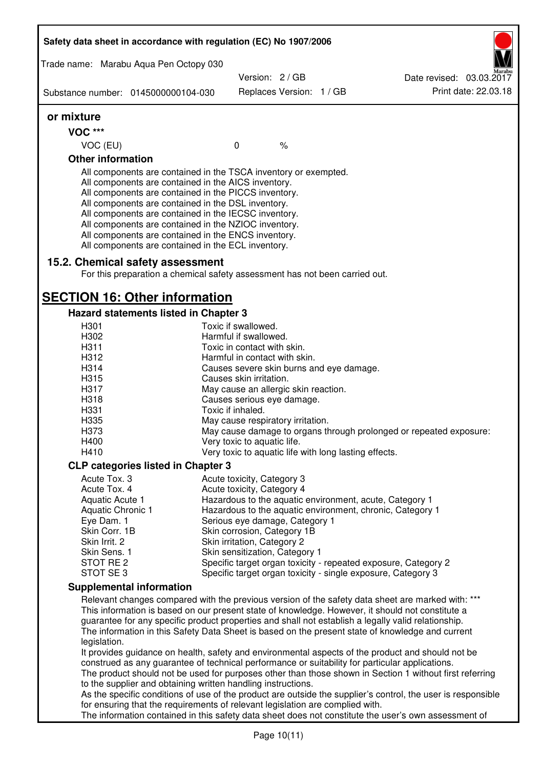|                          | Safety data sheet in accordance with regulation (EC) No 1907/2006                                                                                                                                                                                                                                                                                                                                                                                                 |                                                                     |  |                                                                                                              |
|--------------------------|-------------------------------------------------------------------------------------------------------------------------------------------------------------------------------------------------------------------------------------------------------------------------------------------------------------------------------------------------------------------------------------------------------------------------------------------------------------------|---------------------------------------------------------------------|--|--------------------------------------------------------------------------------------------------------------|
|                          | Trade name: Marabu Aqua Pen Octopy 030                                                                                                                                                                                                                                                                                                                                                                                                                            |                                                                     |  |                                                                                                              |
|                          |                                                                                                                                                                                                                                                                                                                                                                                                                                                                   | Version: 2 / GB                                                     |  | Date revised: 03.03.2017                                                                                     |
|                          | Substance number: 0145000000104-030                                                                                                                                                                                                                                                                                                                                                                                                                               | Replaces Version: 1 / GB                                            |  | Print date: 22.03.18                                                                                         |
| or mixture               |                                                                                                                                                                                                                                                                                                                                                                                                                                                                   |                                                                     |  |                                                                                                              |
| <b>VOC ***</b>           |                                                                                                                                                                                                                                                                                                                                                                                                                                                                   |                                                                     |  |                                                                                                              |
| VOC (EU)                 |                                                                                                                                                                                                                                                                                                                                                                                                                                                                   | $\mathbf 0$<br>$\frac{1}{6}$                                        |  |                                                                                                              |
| <b>Other information</b> |                                                                                                                                                                                                                                                                                                                                                                                                                                                                   |                                                                     |  |                                                                                                              |
|                          | All components are contained in the TSCA inventory or exempted.<br>All components are contained in the AICS inventory.<br>All components are contained in the PICCS inventory.<br>All components are contained in the DSL inventory.<br>All components are contained in the IECSC inventory.<br>All components are contained in the NZIOC inventory.<br>All components are contained in the ENCS inventory.<br>All components are contained in the ECL inventory. |                                                                     |  |                                                                                                              |
|                          | 15.2. Chemical safety assessment<br>For this preparation a chemical safety assessment has not been carried out.                                                                                                                                                                                                                                                                                                                                                   |                                                                     |  |                                                                                                              |
|                          | <b>SECTION 16: Other information</b>                                                                                                                                                                                                                                                                                                                                                                                                                              |                                                                     |  |                                                                                                              |
|                          | Hazard statements listed in Chapter 3                                                                                                                                                                                                                                                                                                                                                                                                                             |                                                                     |  |                                                                                                              |
| H <sub>301</sub>         |                                                                                                                                                                                                                                                                                                                                                                                                                                                                   | Toxic if swallowed.                                                 |  |                                                                                                              |
| H302                     |                                                                                                                                                                                                                                                                                                                                                                                                                                                                   | Harmful if swallowed.                                               |  |                                                                                                              |
| H311                     |                                                                                                                                                                                                                                                                                                                                                                                                                                                                   | Toxic in contact with skin.                                         |  |                                                                                                              |
| H312<br>H314             |                                                                                                                                                                                                                                                                                                                                                                                                                                                                   | Harmful in contact with skin.                                       |  |                                                                                                              |
| H315                     |                                                                                                                                                                                                                                                                                                                                                                                                                                                                   | Causes severe skin burns and eye damage.<br>Causes skin irritation. |  |                                                                                                              |
| H317                     |                                                                                                                                                                                                                                                                                                                                                                                                                                                                   |                                                                     |  |                                                                                                              |
| H318                     |                                                                                                                                                                                                                                                                                                                                                                                                                                                                   | May cause an allergic skin reaction.                                |  |                                                                                                              |
| H331                     |                                                                                                                                                                                                                                                                                                                                                                                                                                                                   | Causes serious eye damage.<br>Toxic if inhaled.                     |  |                                                                                                              |
| H335                     |                                                                                                                                                                                                                                                                                                                                                                                                                                                                   | May cause respiratory irritation.                                   |  |                                                                                                              |
| H373                     |                                                                                                                                                                                                                                                                                                                                                                                                                                                                   |                                                                     |  | May cause damage to organs through prolonged or repeated exposure:                                           |
| H400                     |                                                                                                                                                                                                                                                                                                                                                                                                                                                                   | Very toxic to aquatic life.                                         |  |                                                                                                              |
| H410                     |                                                                                                                                                                                                                                                                                                                                                                                                                                                                   | Very toxic to aquatic life with long lasting effects.               |  |                                                                                                              |
|                          | <b>CLP categories listed in Chapter 3</b>                                                                                                                                                                                                                                                                                                                                                                                                                         |                                                                     |  |                                                                                                              |
| Acute Tox. 3             |                                                                                                                                                                                                                                                                                                                                                                                                                                                                   | Acute toxicity, Category 3                                          |  |                                                                                                              |
| Acute Tox. 4             |                                                                                                                                                                                                                                                                                                                                                                                                                                                                   | Acute toxicity, Category 4                                          |  |                                                                                                              |
| Aquatic Acute 1          |                                                                                                                                                                                                                                                                                                                                                                                                                                                                   |                                                                     |  | Hazardous to the aquatic environment, acute, Category 1                                                      |
| Aquatic Chronic 1        |                                                                                                                                                                                                                                                                                                                                                                                                                                                                   |                                                                     |  | Hazardous to the aquatic environment, chronic, Category 1                                                    |
| Eye Dam. 1               |                                                                                                                                                                                                                                                                                                                                                                                                                                                                   | Serious eye damage, Category 1                                      |  |                                                                                                              |
| Skin Corr. 1B            |                                                                                                                                                                                                                                                                                                                                                                                                                                                                   | Skin corrosion, Category 1B                                         |  |                                                                                                              |
| Skin Irrit. 2            |                                                                                                                                                                                                                                                                                                                                                                                                                                                                   | Skin irritation, Category 2                                         |  |                                                                                                              |
| Skin Sens. 1             |                                                                                                                                                                                                                                                                                                                                                                                                                                                                   | Skin sensitization, Category 1                                      |  |                                                                                                              |
| STOT RE 2<br>STOT SE 3   |                                                                                                                                                                                                                                                                                                                                                                                                                                                                   |                                                                     |  | Specific target organ toxicity - repeated exposure, Category 2                                               |
|                          | <b>Supplemental information</b>                                                                                                                                                                                                                                                                                                                                                                                                                                   |                                                                     |  | Specific target organ toxicity - single exposure, Category 3                                                 |
|                          |                                                                                                                                                                                                                                                                                                                                                                                                                                                                   |                                                                     |  | Relevant changes compared with the previous version of the safety data sheet are marked with: ***            |
|                          |                                                                                                                                                                                                                                                                                                                                                                                                                                                                   |                                                                     |  | This information is based on our present state of knowledge. However, it should not constitute a             |
|                          |                                                                                                                                                                                                                                                                                                                                                                                                                                                                   |                                                                     |  | guarantee for any specific product properties and shall not establish a legally valid relationship.          |
|                          |                                                                                                                                                                                                                                                                                                                                                                                                                                                                   |                                                                     |  | The information in this Safety Data Sheet is based on the present state of knowledge and current             |
| legislation.             |                                                                                                                                                                                                                                                                                                                                                                                                                                                                   |                                                                     |  |                                                                                                              |
|                          |                                                                                                                                                                                                                                                                                                                                                                                                                                                                   |                                                                     |  | It provides guidance on health, safety and environmental aspects of the product and should not be            |
|                          | construed as any guarantee of technical performance or suitability for particular applications.                                                                                                                                                                                                                                                                                                                                                                   |                                                                     |  |                                                                                                              |
|                          |                                                                                                                                                                                                                                                                                                                                                                                                                                                                   |                                                                     |  | The product should not be used for purposes other than those shown in Section 1 without first referring      |
|                          | to the supplier and obtaining written handling instructions.                                                                                                                                                                                                                                                                                                                                                                                                      |                                                                     |  |                                                                                                              |
|                          |                                                                                                                                                                                                                                                                                                                                                                                                                                                                   |                                                                     |  | As the specific conditions of use of the product are outside the supplier's control, the user is responsible |
|                          | for ensuring that the requirements of relevant legislation are complied with.                                                                                                                                                                                                                                                                                                                                                                                     |                                                                     |  |                                                                                                              |